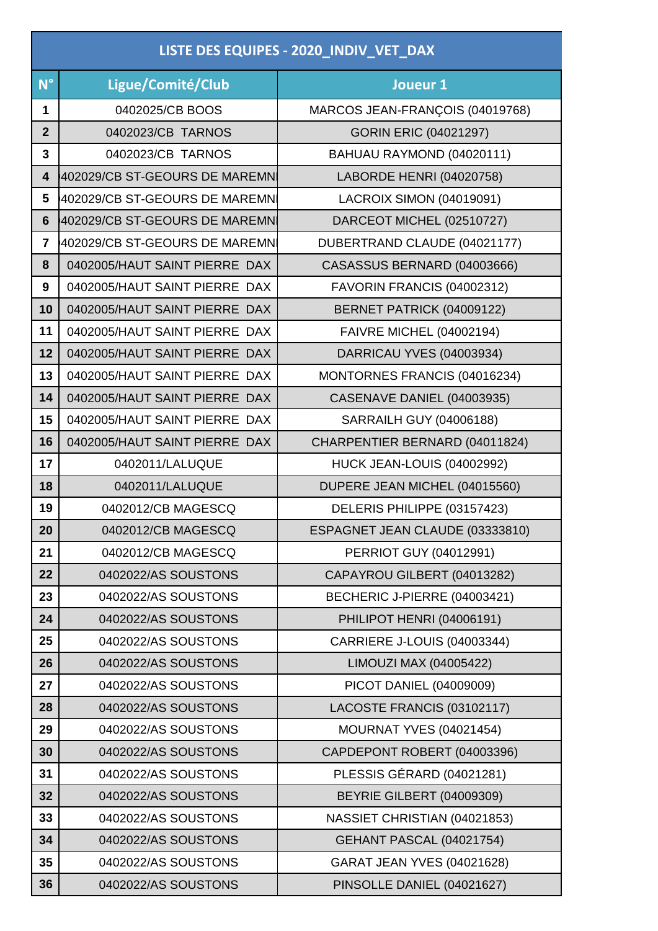| LISTE DES EQUIPES - 2020_INDIV_VET_DAX |                               |                                  |  |
|----------------------------------------|-------------------------------|----------------------------------|--|
| $N^{\circ}$                            | Ligue/Comité/Club             | <b>Joueur 1</b>                  |  |
| 1                                      | 0402025/CB BOOS               | MARCOS JEAN-FRANÇOIS (04019768)  |  |
| $\mathbf{2}$                           | 0402023/CB TARNOS             | <b>GORIN ERIC (04021297)</b>     |  |
| 3                                      | 0402023/CB TARNOS             | BAHUAU RAYMOND (04020111)        |  |
| 4                                      | 402029/CB ST-GEOURS DE MAREMN | LABORDE HENRI (04020758)         |  |
| 5                                      | 402029/CB ST-GEOURS DE MAREMN | LACROIX SIMON (04019091)         |  |
| $6\phantom{1}$                         | 402029/CB ST-GEOURS DE MAREMN | DARCEOT MICHEL (02510727)        |  |
| $\overline{7}$                         | 402029/CB ST-GEOURS DE MAREMN | DUBERTRAND CLAUDE (04021177)     |  |
| 8                                      | 0402005/HAUT SAINT PIERRE DAX | CASASSUS BERNARD (04003666)      |  |
| 9                                      | 0402005/HAUT SAINT PIERRE DAX | FAVORIN FRANCIS (04002312)       |  |
| 10                                     | 0402005/HAUT SAINT PIERRE DAX | BERNET PATRICK (04009122)        |  |
| 11                                     | 0402005/HAUT SAINT PIERRE DAX | <b>FAIVRE MICHEL (04002194)</b>  |  |
| 12                                     | 0402005/HAUT SAINT PIERRE DAX | DARRICAU YVES (04003934)         |  |
| 13                                     | 0402005/HAUT SAINT PIERRE DAX | MONTORNES FRANCIS (04016234)     |  |
| 14                                     | 0402005/HAUT SAINT PIERRE DAX | CASENAVE DANIEL (04003935)       |  |
| 15                                     | 0402005/HAUT SAINT PIERRE DAX | <b>SARRAILH GUY (04006188)</b>   |  |
| 16                                     | 0402005/HAUT SAINT PIERRE DAX | CHARPENTIER BERNARD (04011824)   |  |
| 17                                     | 0402011/LALUQUE               | HUCK JEAN-LOUIS (04002992)       |  |
| 18                                     | 0402011/LALUQUE               | DUPERE JEAN MICHEL (04015560)    |  |
| 19                                     | 0402012/CB MAGESCQ            | DELERIS PHILIPPE (03157423)      |  |
| 20                                     | 0402012/CB MAGESCQ            | ESPAGNET JEAN CLAUDE (03333810)  |  |
| 21                                     | 0402012/CB MAGESCQ            | PERRIOT GUY (04012991)           |  |
| 22                                     | 0402022/AS SOUSTONS           | CAPAYROU GILBERT (04013282)      |  |
| 23                                     | 0402022/AS SOUSTONS           | BECHERIC J-PIERRE (04003421)     |  |
| 24                                     | 0402022/AS SOUSTONS           | PHILIPOT HENRI (04006191)        |  |
| 25                                     | 0402022/AS SOUSTONS           | CARRIERE J-LOUIS (04003344)      |  |
| 26                                     | 0402022/AS SOUSTONS           | LIMOUZI MAX (04005422)           |  |
| 27                                     | 0402022/AS SOUSTONS           | PICOT DANIEL (04009009)          |  |
| 28                                     | 0402022/AS SOUSTONS           | LACOSTE FRANCIS (03102117)       |  |
| 29                                     | 0402022/AS SOUSTONS           | <b>MOURNAT YVES (04021454)</b>   |  |
| 30                                     | 0402022/AS SOUSTONS           | CAPDEPONT ROBERT (04003396)      |  |
| 31                                     | 0402022/AS SOUSTONS           | PLESSIS GÉRARD (04021281)        |  |
| 32                                     | 0402022/AS SOUSTONS           | <b>BEYRIE GILBERT (04009309)</b> |  |
| 33                                     | 0402022/AS SOUSTONS           | NASSIET CHRISTIAN (04021853)     |  |
| 34                                     | 0402022/AS SOUSTONS           | <b>GEHANT PASCAL (04021754)</b>  |  |
| 35                                     | 0402022/AS SOUSTONS           | GARAT JEAN YVES (04021628)       |  |
| 36                                     | 0402022/AS SOUSTONS           | PINSOLLE DANIEL (04021627)       |  |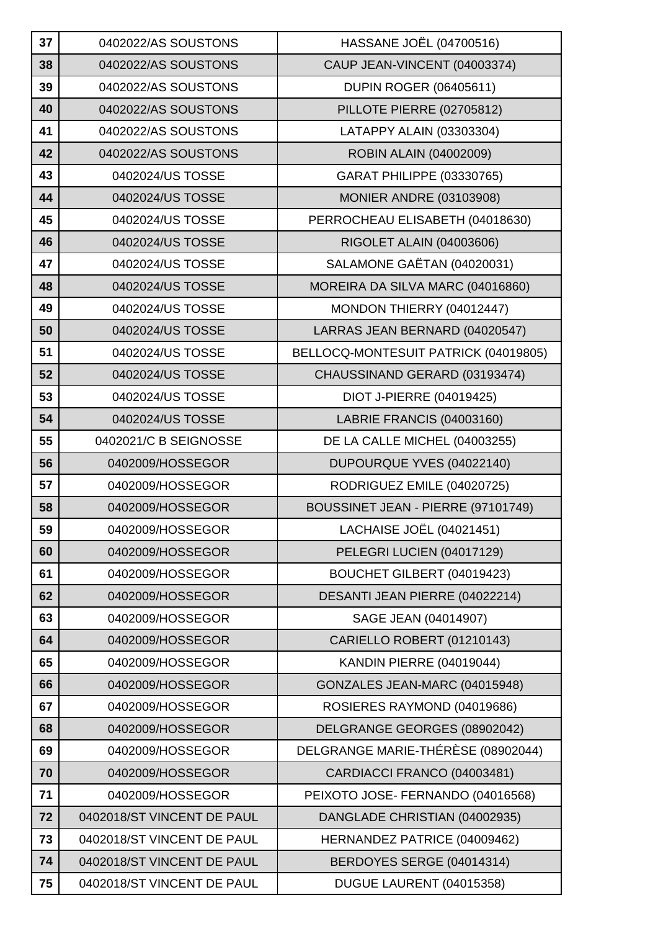| 37 | 0402022/AS SOUSTONS        | <b>HASSANE JOËL (04700516)</b>       |
|----|----------------------------|--------------------------------------|
| 38 | 0402022/AS SOUSTONS        | CAUP JEAN-VINCENT (04003374)         |
| 39 | 0402022/AS SOUSTONS        | <b>DUPIN ROGER (06405611)</b>        |
| 40 | 0402022/AS SOUSTONS        | PILLOTE PIERRE (02705812)            |
| 41 | 0402022/AS SOUSTONS        | LATAPPY ALAIN (03303304)             |
| 42 | 0402022/AS SOUSTONS        | ROBIN ALAIN (04002009)               |
| 43 | 0402024/US TOSSE           | GARAT PHILIPPE (03330765)            |
| 44 | 0402024/US TOSSE           | <b>MONIER ANDRE (03103908)</b>       |
| 45 | 0402024/US TOSSE           | PERROCHEAU ELISABETH (04018630)      |
| 46 | 0402024/US TOSSE           | RIGOLET ALAIN (04003606)             |
| 47 | 0402024/US TOSSE           | SALAMONE GAËTAN (04020031)           |
| 48 | 0402024/US TOSSE           | MOREIRA DA SILVA MARC (04016860)     |
| 49 | 0402024/US TOSSE           | MONDON THIERRY (04012447)            |
| 50 | 0402024/US TOSSE           | LARRAS JEAN BERNARD (04020547)       |
| 51 | 0402024/US TOSSE           | BELLOCQ-MONTESUIT PATRICK (04019805) |
| 52 | 0402024/US TOSSE           | CHAUSSINAND GERARD (03193474)        |
| 53 | 0402024/US TOSSE           | <b>DIOT J-PIERRE (04019425)</b>      |
| 54 | 0402024/US TOSSE           | LABRIE FRANCIS (04003160)            |
| 55 | 0402021/C B SEIGNOSSE      | DE LA CALLE MICHEL (04003255)        |
| 56 | 0402009/HOSSEGOR           | DUPOURQUE YVES (04022140)            |
| 57 | 0402009/HOSSEGOR           | RODRIGUEZ EMILE (04020725)           |
| 58 | 0402009/HOSSEGOR           | BOUSSINET JEAN - PIERRE (97101749)   |
| 59 | 0402009/HOSSEGOR           | <b>LACHAISE JOËL (04021451)</b>      |
| 60 | 0402009/HOSSEGOR           | PELEGRI LUCIEN (04017129)            |
| 61 | 0402009/HOSSEGOR           | BOUCHET GILBERT (04019423)           |
| 62 | 0402009/HOSSEGOR           | DESANTI JEAN PIERRE (04022214)       |
| 63 | 0402009/HOSSEGOR           | SAGE JEAN (04014907)                 |
| 64 | 0402009/HOSSEGOR           | CARIELLO ROBERT (01210143)           |
| 65 | 0402009/HOSSEGOR           | <b>KANDIN PIERRE (04019044)</b>      |
| 66 | 0402009/HOSSEGOR           | GONZALES JEAN-MARC (04015948)        |
| 67 | 0402009/HOSSEGOR           | ROSIERES RAYMOND (04019686)          |
| 68 | 0402009/HOSSEGOR           | DELGRANGE GEORGES (08902042)         |
| 69 | 0402009/HOSSEGOR           | DELGRANGE MARIE-THÉRÈSE (08902044)   |
| 70 | 0402009/HOSSEGOR           | CARDIACCI FRANCO (04003481)          |
| 71 | 0402009/HOSSEGOR           | PEIXOTO JOSE- FERNANDO (04016568)    |
| 72 | 0402018/ST VINCENT DE PAUL | DANGLADE CHRISTIAN (04002935)        |
| 73 | 0402018/ST VINCENT DE PAUL | HERNANDEZ PATRICE (04009462)         |
| 74 | 0402018/ST VINCENT DE PAUL | BERDOYES SERGE (04014314)            |
| 75 | 0402018/ST VINCENT DE PAUL | DUGUE LAURENT (04015358)             |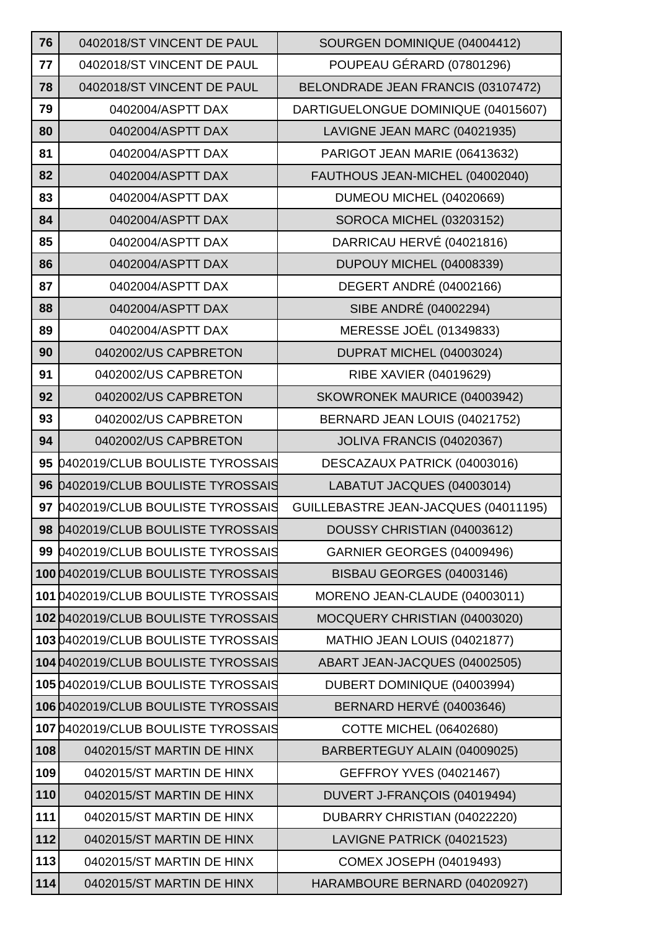| 76  | 0402018/ST VINCENT DE PAUL          | SOURGEN DOMINIQUE (04004412)         |
|-----|-------------------------------------|--------------------------------------|
| 77  | 0402018/ST VINCENT DE PAUL          | POUPEAU GÉRARD (07801296)            |
| 78  | 0402018/ST VINCENT DE PAUL          | BELONDRADE JEAN FRANCIS (03107472)   |
| 79  | 0402004/ASPTT DAX                   | DARTIGUELONGUE DOMINIQUE (04015607)  |
| 80  | 0402004/ASPTT DAX                   | LAVIGNE JEAN MARC (04021935)         |
| 81  | 0402004/ASPTT DAX                   | PARIGOT JEAN MARIE (06413632)        |
| 82  | 0402004/ASPTT DAX                   | FAUTHOUS JEAN-MICHEL (04002040)      |
| 83  | 0402004/ASPTT DAX                   | DUMEOU MICHEL (04020669)             |
| 84  | 0402004/ASPTT DAX                   | <b>SOROCA MICHEL (03203152)</b>      |
| 85  | 0402004/ASPTT DAX                   | DARRICAU HERVÉ (04021816)            |
| 86  | 0402004/ASPTT DAX                   | DUPOUY MICHEL (04008339)             |
| 87  | 0402004/ASPTT DAX                   | DEGERT ANDRÉ (04002166)              |
| 88  | 0402004/ASPTT DAX                   | SIBE ANDRÉ (04002294)                |
| 89  | 0402004/ASPTT DAX                   | <b>MERESSE JOËL (01349833)</b>       |
| 90  | 0402002/US CAPBRETON                | DUPRAT MICHEL (04003024)             |
| 91  | 0402002/US CAPBRETON                | RIBE XAVIER (04019629)               |
| 92  | 0402002/US CAPBRETON                | SKOWRONEK MAURICE (04003942)         |
| 93  | 0402002/US CAPBRETON                | BERNARD JEAN LOUIS (04021752)        |
| 94  | 0402002/US CAPBRETON                | JOLIVA FRANCIS (04020367)            |
| 95  | 0402019/CLUB BOULISTE TYROSSAIS     | DESCAZAUX PATRICK (04003016)         |
| 96  | 0402019/CLUB BOULISTE TYROSSAIS     | LABATUT JACQUES (04003014)           |
| 97  | 0402019/CLUB BOULISTE TYROSSAIS     | GUILLEBASTRE JEAN-JACQUES (04011195) |
|     | 98 0402019/CLUB BOULISTE TYROSSAIS  | DOUSSY CHRISTIAN (04003612)          |
|     | 99 0402019/CLUB BOULISTE TYROSSAIS  | GARNIER GEORGES (04009496)           |
|     | 100 0402019/CLUB BOULISTE TYROSSAIS | BISBAU GEORGES (04003146)            |
|     | 101 0402019/CLUB BOULISTE TYROSSAIS | MORENO JEAN-CLAUDE (04003011)        |
|     | 102 0402019/CLUB BOULISTE TYROSSAIS | MOCQUERY CHRISTIAN (04003020)        |
|     | 103 0402019/CLUB BOULISTE TYROSSAIS | MATHIO JEAN LOUIS (04021877)         |
|     | 104 0402019/CLUB BOULISTE TYROSSAIS | ABART JEAN-JACQUES (04002505)        |
|     | 105 0402019/CLUB BOULISTE TYROSSAIS | DUBERT DOMINIQUE (04003994)          |
|     | 106 0402019/CLUB BOULISTE TYROSSAIS | BERNARD HERVÉ (04003646)             |
|     | 107 0402019/CLUB BOULISTE TYROSSAIS | <b>COTTE MICHEL (06402680)</b>       |
| 108 | 0402015/ST MARTIN DE HINX           | BARBERTEGUY ALAIN (04009025)         |
| 109 | 0402015/ST MARTIN DE HINX           | <b>GEFFROY YVES (04021467)</b>       |
| 110 | 0402015/ST MARTIN DE HINX           | DUVERT J-FRANÇOIS (04019494)         |
| 111 | 0402015/ST MARTIN DE HINX           | DUBARRY CHRISTIAN (04022220)         |
| 112 | 0402015/ST MARTIN DE HINX           | LAVIGNE PATRICK (04021523)           |
| 113 | 0402015/ST MARTIN DE HINX           | COMEX JOSEPH (04019493)              |
| 114 | 0402015/ST MARTIN DE HINX           | HARAMBOURE BERNARD (04020927)        |